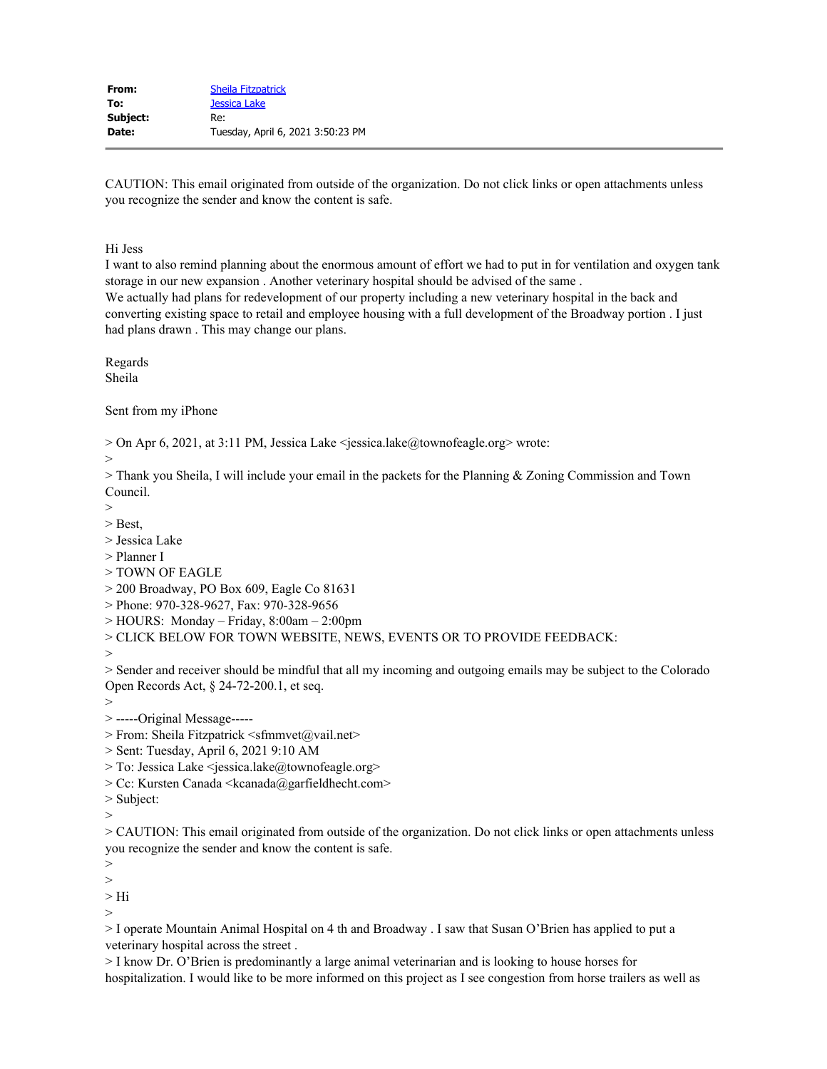CAUTION: This email originated from outside of the organization. Do not click links or open attachments unless you recognize the sender and know the content is safe.

Hi Jess

I want to also remind planning about the enormous amount of effort we had to put in for ventilation and oxygen tank storage in our new expansion . Another veterinary hospital should be advised of the same .

We actually had plans for redevelopment of our property including a new veterinary hospital in the back and converting existing space to retail and employee housing with a full development of the Broadway portion . I just had plans drawn . This may change our plans.

Regards Sheila

Sent from my iPhone

> On Apr 6, 2021, at 3:11 PM, Jessica Lake <jessica.lake@townofeagle.org> wrote:

>

> Thank you Sheila, I will include your email in the packets for the Planning & Zoning Commission and Town Council.

 $>$ 

> Best,

> Jessica Lake

> Planner I

> TOWN OF EAGLE

> 200 Broadway, PO Box 609, Eagle Co 81631

> Phone: 970-328-9627, Fax: 970-328-9656

> HOURS: Monday – Friday, 8:00am – 2:00pm

> CLICK BELOW FOR TOWN WEBSITE, NEWS, EVENTS OR TO PROVIDE FEEDBACK:

>

> Sender and receiver should be mindful that all my incoming and outgoing emails may be subject to the Colorado Open Records Act, § 24-72-200.1, et seq.

>

> -----Original Message-----

> From: Sheila Fitzpatrick <sfmmvet@vail.net>

> Sent: Tuesday, April 6, 2021 9:10 AM

> To: Jessica Lake <jessica.lake@townofeagle.org>

> Cc: Kursten Canada <kcanada@garfieldhecht.com>

> Subject:

 $>$ 

> CAUTION: This email originated from outside of the organization. Do not click links or open attachments unless you recognize the sender and know the content is safe.

>

>

> Hi

>

> I operate Mountain Animal Hospital on 4 th and Broadway . I saw that Susan O'Brien has applied to put a veterinary hospital across the street .

> I know Dr. O'Brien is predominantly a large animal veterinarian and is looking to house horses for hospitalization. I would like to be more informed on this project as I see congestion from horse trailers as well as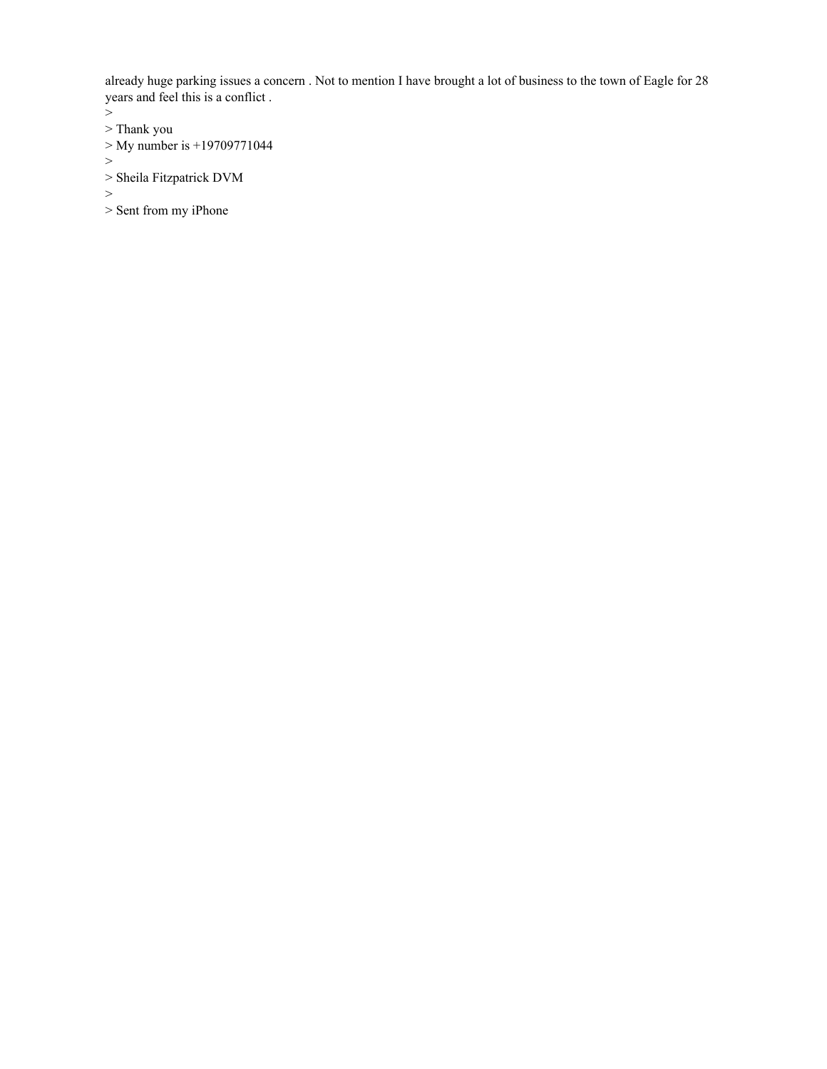already huge parking issues a concern . Not to mention I have brought a lot of business to the town of Eagle for 28 years and feel this is a conflict .

>

- > Thank you
- > My number is +19709771044

>

> Sheila Fitzpatrick DVM

>

> Sent from my iPhone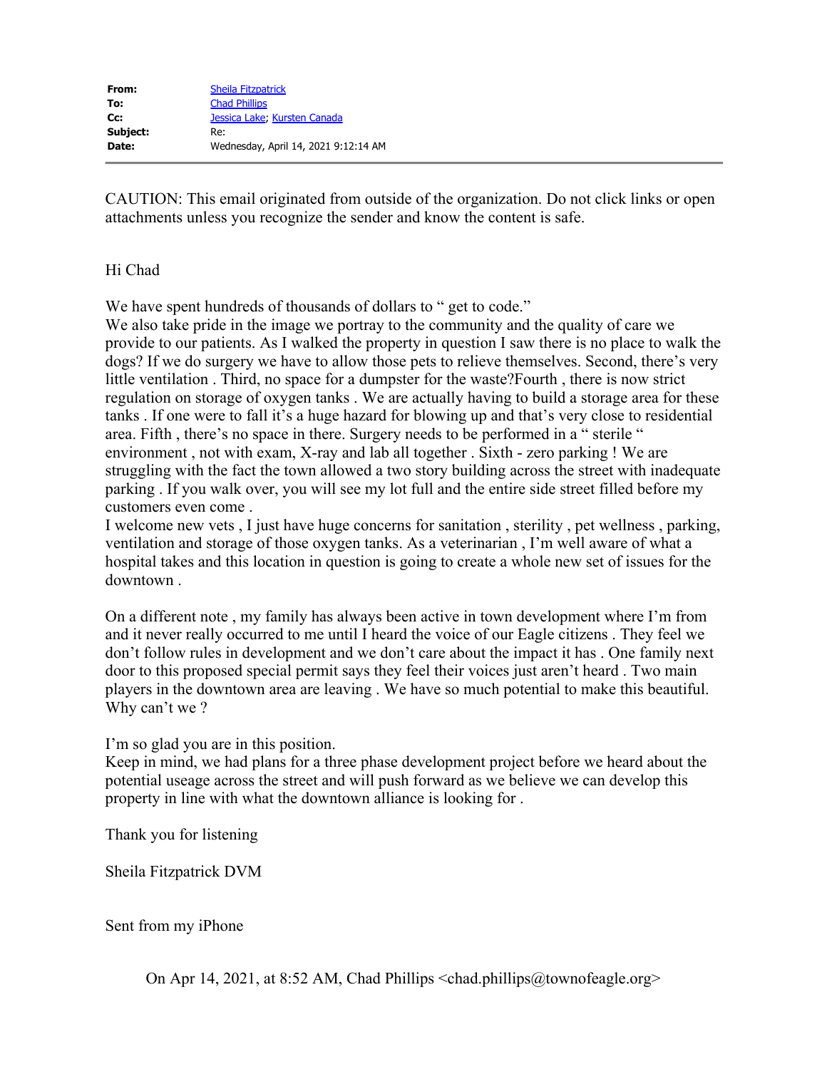CAUTION: This email originated from outside of the organization. Do not click links or open attachments unless you recognize the sender and know the content is safe.

# Hi Chad

We have spent hundreds of thousands of dollars to " get to code."

We also take pride in the image we portray to the community and the quality of care we provide to our patients. As I walked the property in question I saw there is no place to walk the dogs? If we do surgery we have to allow those pets to relieve themselves. Second, there's very little ventilation . Third, no space for a dumpster for the waste?Fourth , there is now strict regulation on storage of oxygen tanks . We are actually having to build a storage area for these tanks . If one were to fall it's a huge hazard for blowing up and that's very close to residential area. Fifth , there's no space in there. Surgery needs to be performed in a " sterile " environment , not with exam, X-ray and lab all together . Sixth - zero parking ! We are struggling with the fact the town allowed a two story building across the street with inadequate parking . If you walk over, you will see my lot full and the entire side street filled before my customers even come .

I welcome new vets , I just have huge concerns for sanitation , sterility , pet wellness , parking, ventilation and storage of those oxygen tanks. As a veterinarian , I'm well aware of what a hospital takes and this location in question is going to create a whole new set of issues for the downtown .

On a different note , my family has always been active in town development where I'm from and it never really occurred to me until I heard the voice of our Eagle citizens . They feel we don't follow rules in development and we don't care about the impact it has . One family next door to this proposed special permit says they feel their voices just aren't heard . Two main players in the downtown area are leaving . We have so much potential to make this beautiful. Why can't we ?

I'm so glad you are in this position.

Keep in mind, we had plans for a three phase development project before we heard about the potential useage across the street and will push forward as we believe we can develop this property in line with what the downtown alliance is looking for .

Thank you for listening

Sheila Fitzpatrick DVM

Sent from my iPhone

On Apr 14, 2021, at 8:52 AM, Chad Phillips <chad.phillips@townofeagle.org>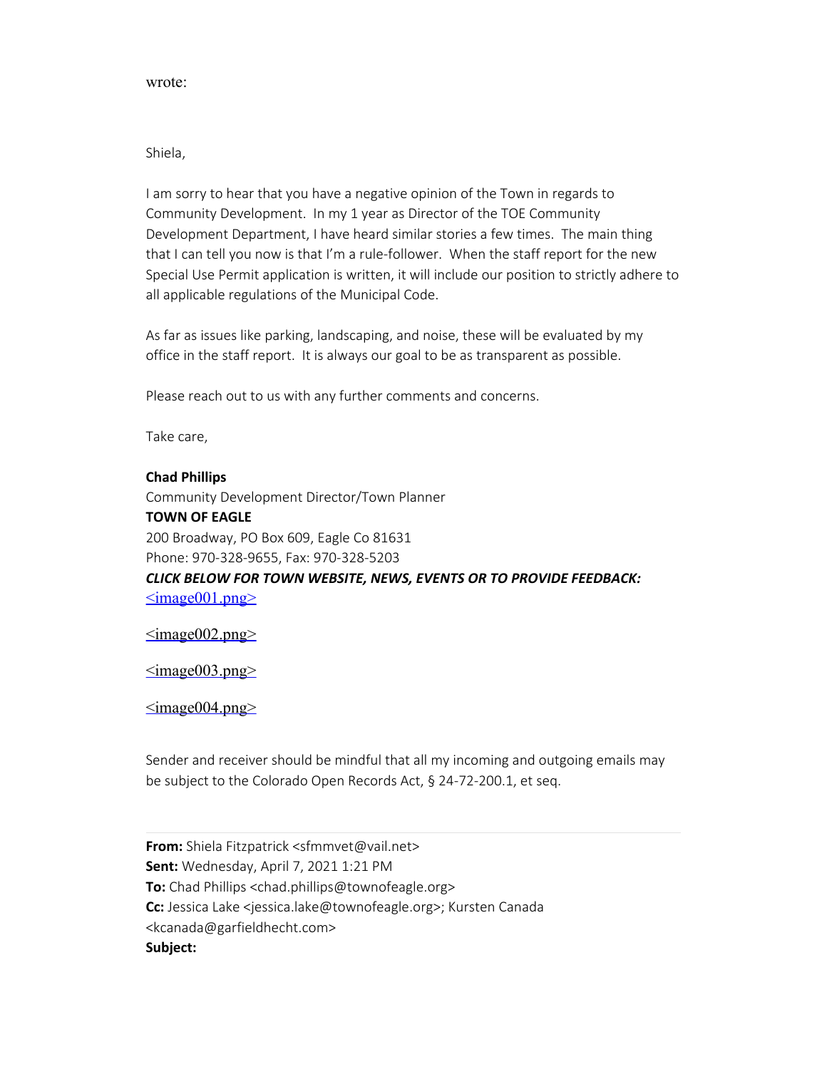### wrote:

## Shiela,

I am sorry to hear that you have a negative opinion of the Town in regards to Community Development. In my 1 year as Director of the TOE Community Development Department, I have heard similar stories a few times. The main thing that I can tell you now is that I'm a rule-follower. When the staff report for the new Special Use Permit application is written, it will include our position to strictly adhere to all applicable regulations of the Municipal Code.

As far as issues like parking, landscaping, and noise, these will be evaluated by my office in the staff report. It is always our goal to be as transparent as possible.

Please reach out to us with any further comments and concerns.

Take care,

### **Chad Phillips**

Community Development Director/Town Planner **TOWN OF EAGLE** 200 Broadway, PO Box 609, Eagle Co 81631 Phone: 970-328-9655, Fax: 970-328-5203 *CLICK BELOW FOR TOWN WEBSITE, NEWS, EVENTS OR TO PROVIDE FEEDBACK:*  $\leq$ image001.png>

 $\leq$ image $002$ .png $\geq$ 

 $\leq$ image $003.$ png $\geq$ 

 $\leq$ image $004$ .png $\geq$ 

Sender and receiver should be mindful that all my incoming and outgoing emails may be subject to the Colorado Open Records Act, § 24-72-200.1, et seq.

**From:** Shiela Fitzpatrick <sfmmvet@vail.net> **Sent:** Wednesday, April 7, 2021 1:21 PM **To:** Chad Phillips <chad.phillips@townofeagle.org> **Cc:** Jessica Lake <jessica.lake@townofeagle.org>; Kursten Canada <kcanada@garfieldhecht.com> **Subject:**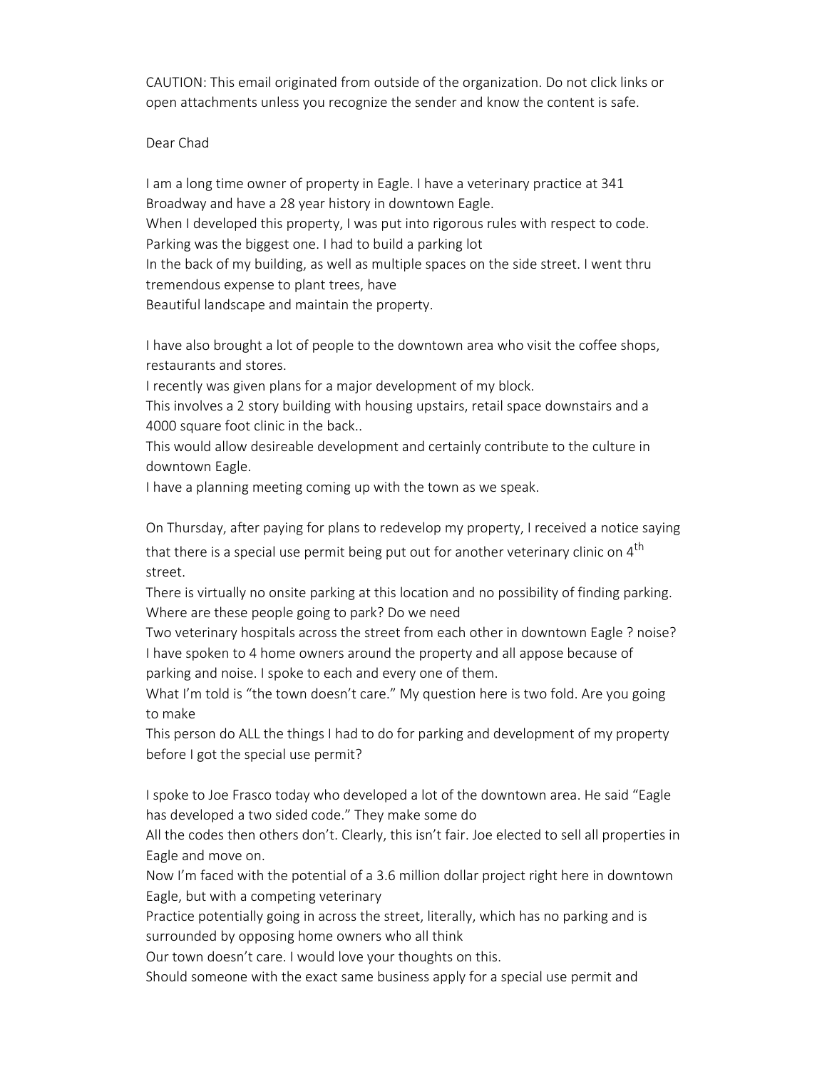CAUTION: This email originated from outside of the organization. Do not click links or open attachments unless you recognize the sender and know the content is safe.

Dear Chad

I am a long time owner of property in Eagle. I have a veterinary practice at 341 Broadway and have a 28 year history in downtown Eagle.

When I developed this property, I was put into rigorous rules with respect to code. Parking was the biggest one. I had to build a parking lot

In the back of my building, as well as multiple spaces on the side street. I went thru tremendous expense to plant trees, have

Beautiful landscape and maintain the property.

I have also brought a lot of people to the downtown area who visit the coffee shops, restaurants and stores.

I recently was given plans for a major development of my block.

This involves a 2 story building with housing upstairs, retail space downstairs and a 4000 square foot clinic in the back..

This would allow desireable development and certainly contribute to the culture in downtown Eagle.

I have a planning meeting coming up with the town as we speak.

On Thursday, after paying for plans to redevelop my property, I received a notice saying that there is a special use permit being put out for another veterinary clinic on  $4<sup>th</sup>$ street.

There is virtually no onsite parking at this location and no possibility of finding parking. Where are these people going to park? Do we need

Two veterinary hospitals across the street from each other in downtown Eagle ? noise? I have spoken to 4 home owners around the property and all appose because of parking and noise. I spoke to each and every one of them.

What I'm told is "the town doesn't care." My question here is two fold. Are you going to make

This person do ALL the things I had to do for parking and development of my property before I got the special use permit?

I spoke to Joe Frasco today who developed a lot of the downtown area. He said "Eagle has developed a two sided code." They make some do

All the codes then others don't. Clearly, this isn't fair. Joe elected to sell all properties in Eagle and move on.

Now I'm faced with the potential of a 3.6 million dollar project right here in downtown Eagle, but with a competing veterinary

Practice potentially going in across the street, literally, which has no parking and is surrounded by opposing home owners who all think

Our town doesn't care. I would love your thoughts on this.

Should someone with the exact same business apply for a special use permit and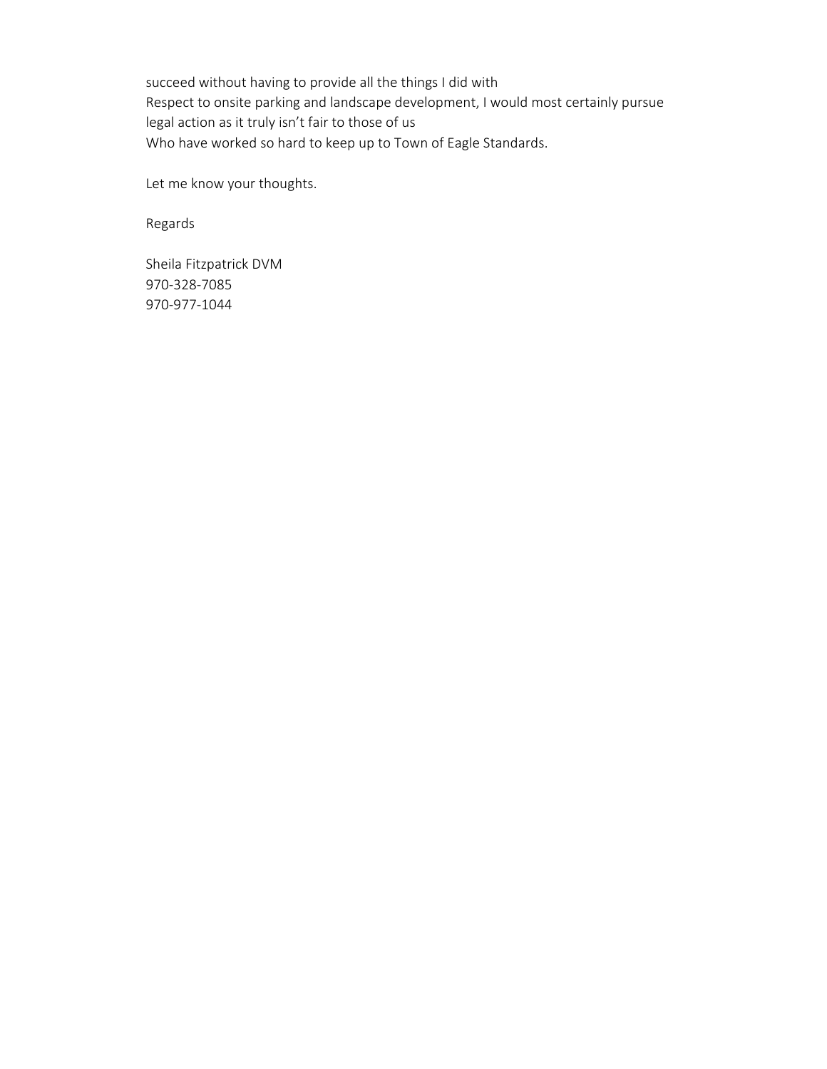succeed without having to provide all the things I did with Respect to onsite parking and landscape development, I would most certainly pursue legal action as it truly isn't fair to those of us Who have worked so hard to keep up to Town of Eagle Standards.

Let me know your thoughts.

Regards

Sheila Fitzpatrick DVM 970-328-7085 970-977-1044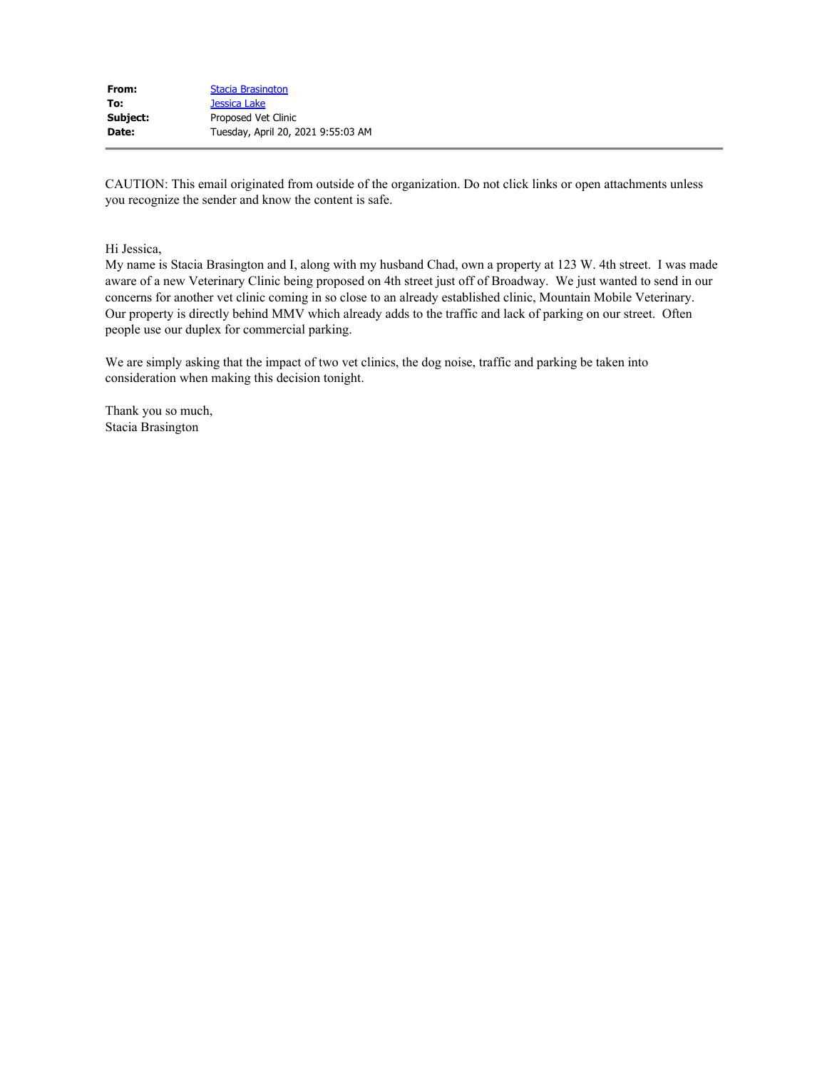| From:    | <b>Stacia Brasington</b>           |
|----------|------------------------------------|
| To:      | Jessica Lake                       |
| Subject: | Proposed Vet Clinic                |
| Date:    | Tuesday, April 20, 2021 9:55:03 AM |

CAUTION: This email originated from outside of the organization. Do not click links or open attachments unless you recognize the sender and know the content is safe.

Hi Jessica,

My name is Stacia Brasington and I, along with my husband Chad, own a property at 123 W. 4th street. I was made aware of a new Veterinary Clinic being proposed on 4th street just off of Broadway. We just wanted to send in our concerns for another vet clinic coming in so close to an already established clinic, Mountain Mobile Veterinary. Our property is directly behind MMV which already adds to the traffic and lack of parking on our street. Often people use our duplex for commercial parking.

We are simply asking that the impact of two vet clinics, the dog noise, traffic and parking be taken into consideration when making this decision tonight.

Thank you so much, Stacia Brasington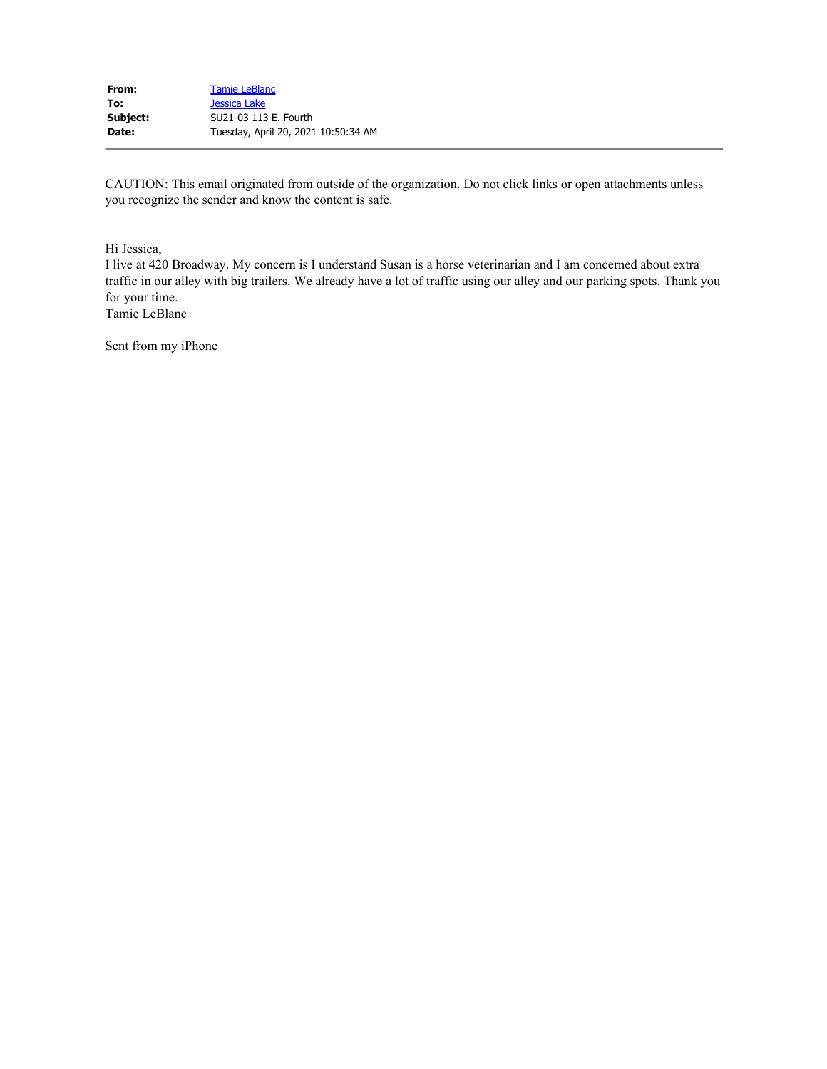| From:    | <b>Tamie LeBlanc</b>                |
|----------|-------------------------------------|
| To:      | Jessica Lake                        |
| Subject: | SU21-03 113 E. Fourth               |
| Date:    | Tuesday, April 20, 2021 10:50:34 AM |

CAUTION: This email originated from outside of the organization. Do not click links or open attachments unless you recognize the sender and know the content is safe.

Hi Jessica,

I live at 420 Broadway. My concern is I understand Susan is a horse veterinarian and I am concerned about extra traffic in our alley with big trailers. We already have a lot of traffic using our alley and our parking spots. Thank you for your time.

Tamie LeBlanc

Sent from my iPhone